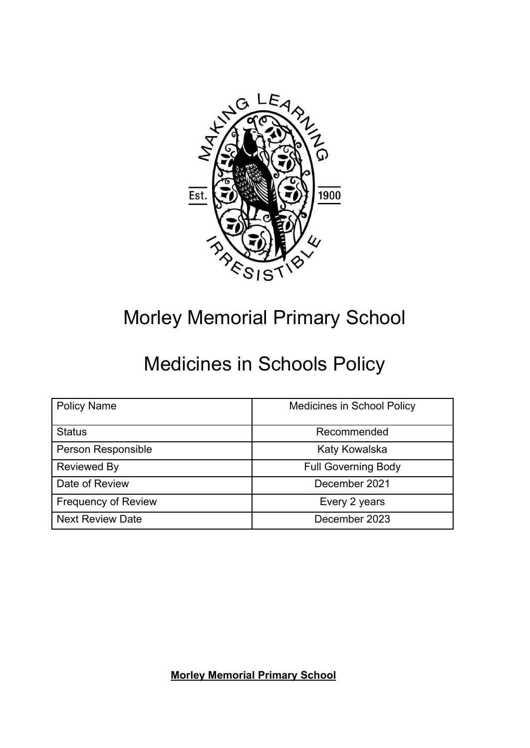

# Morley Memorial Primary School

# Medicines in Schools Policy

| <b>Policy Name</b>         | <b>Medicines in School Policy</b> |  |  |
|----------------------------|-----------------------------------|--|--|
| <b>Status</b>              | Recommended                       |  |  |
| Person Responsible         | Katy Kowalska                     |  |  |
| <b>Reviewed By</b>         | <b>Full Governing Body</b>        |  |  |
| Date of Review             | December 2021                     |  |  |
| <b>Frequency of Review</b> | Every 2 years                     |  |  |
| <b>Next Review Date</b>    | December 2023                     |  |  |

**Morley Memorial Primary School**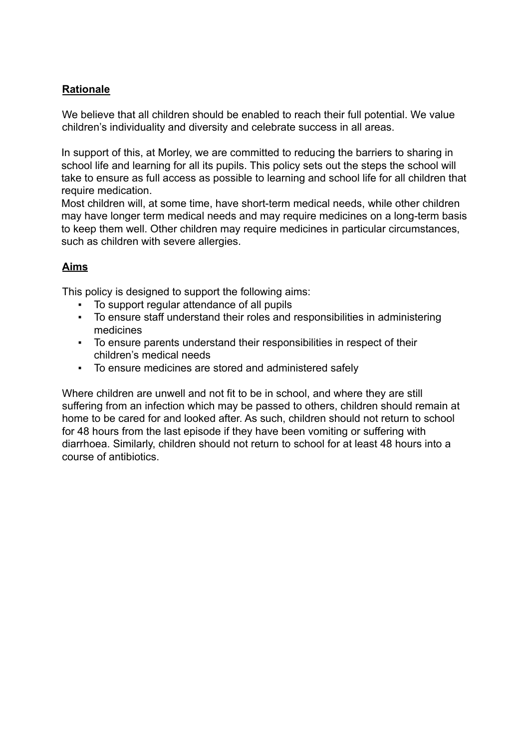# **Rationale**

We believe that all children should be enabled to reach their full potential. We value children's individuality and diversity and celebrate success in all areas.

In support of this, at Morley, we are committed to reducing the barriers to sharing in school life and learning for all its pupils. This policy sets out the steps the school will take to ensure as full access as possible to learning and school life for all children that require medication.

Most children will, at some time, have short-term medical needs, while other children may have longer term medical needs and may require medicines on a long-term basis to keep them well. Other children may require medicines in particular circumstances, such as children with severe allergies.

## **Aims**

This policy is designed to support the following aims:

- To support regular attendance of all pupils
- To ensure staff understand their roles and responsibilities in administering medicines
- To ensure parents understand their responsibilities in respect of their children's medical needs
- To ensure medicines are stored and administered safely

Where children are unwell and not fit to be in school, and where they are still suffering from an infection which may be passed to others, children should remain at home to be cared for and looked after. As such, children should not return to school for 48 hours from the last episode if they have been vomiting or suffering with diarrhoea. Similarly, children should not return to school for at least 48 hours into a course of antibiotics.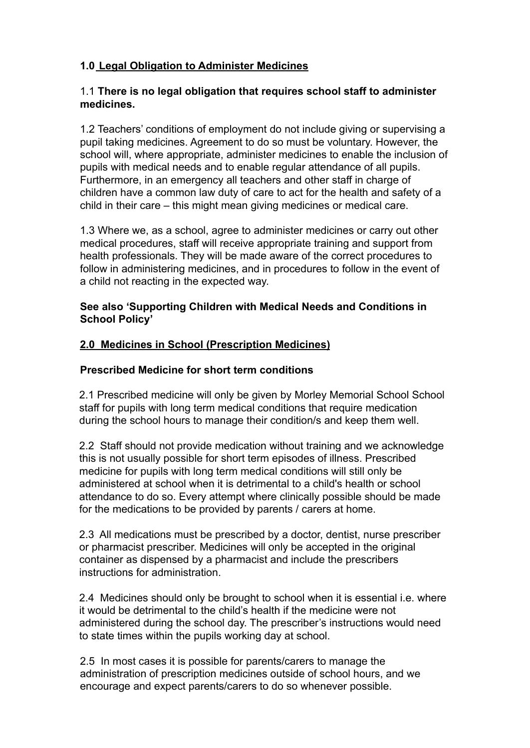# **1.0 Legal Obligation to Administer Medicines**

#### 1.1 **There is no legal obligation that requires school staff to administer medicines.**

1.2 Teachers' conditions of employment do not include giving or supervising a pupil taking medicines. Agreement to do so must be voluntary. However, the school will, where appropriate, administer medicines to enable the inclusion of pupils with medical needs and to enable regular attendance of all pupils. Furthermore, in an emergency all teachers and other staff in charge of children have a common law duty of care to act for the health and safety of a child in their care – this might mean giving medicines or medical care.

1.3 Where we, as a school, agree to administer medicines or carry out other medical procedures, staff will receive appropriate training and support from health professionals. They will be made aware of the correct procedures to follow in administering medicines, and in procedures to follow in the event of a child not reacting in the expected way.

#### **See also 'Supporting Children with Medical Needs and Conditions in School Policy'**

#### **2.0 Medicines in School (Prescription Medicines)**

#### **Prescribed Medicine for short term conditions**

2.1 Prescribed medicine will only be given by Morley Memorial School School staff for pupils with long term medical conditions that require medication during the school hours to manage their condition/s and keep them well.

2.2 Staff should not provide medication without training and we acknowledge this is not usually possible for short term episodes of illness. Prescribed medicine for pupils with long term medical conditions will still only be administered at school when it is detrimental to a child's health or school attendance to do so. Every attempt where clinically possible should be made for the medications to be provided by parents / carers at home.

2.3 All medications must be prescribed by a doctor, dentist, nurse prescriber or pharmacist prescriber. Medicines will only be accepted in the original container as dispensed by a pharmacist and include the prescribers instructions for administration.

2.4 Medicines should only be brought to school when it is essential i.e. where it would be detrimental to the child's health if the medicine were not administered during the school day. The prescriber's instructions would need to state times within the pupils working day at school.

2.5 In most cases it is possible for parents/carers to manage the administration of prescription medicines outside of school hours, and we encourage and expect parents/carers to do so whenever possible.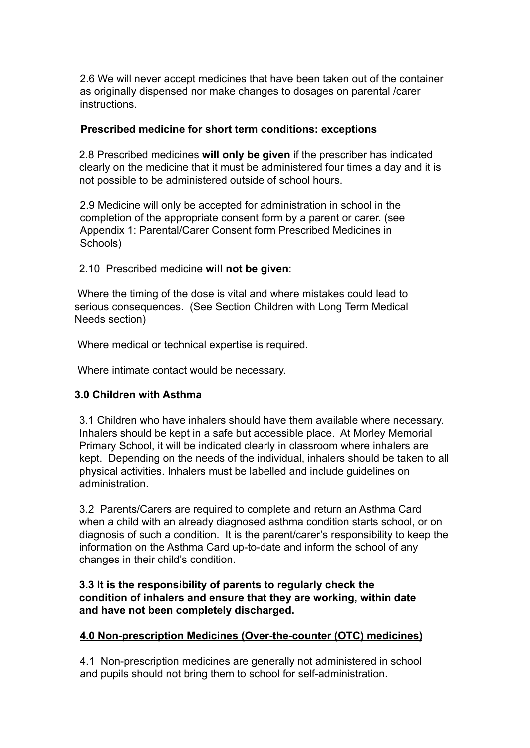2.6 We will never accept medicines that have been taken out of the container as originally dispensed nor make changes to dosages on parental /carer instructions.

#### **Prescribed medicine for short term conditions: exceptions**

2.8 Prescribed medicines **will only be given** if the prescriber has indicated clearly on the medicine that it must be administered four times a day and it is not possible to be administered outside of school hours.

2.9 Medicine will only be accepted for administration in school in the completion of the appropriate consent form by a parent or carer. (see Appendix 1: Parental/Carer Consent form Prescribed Medicines in Schools)

2.10 Prescribed medicine **will not be given**:

Where the timing of the dose is vital and where mistakes could lead to serious consequences. (See Section Children with Long Term Medical Needs section)

Where medical or technical expertise is required.

Where intimate contact would be necessary.

#### **3.0 Children with Asthma**

3.1 Children who have inhalers should have them available where necessary. Inhalers should be kept in a safe but accessible place. At Morley Memorial Primary School, it will be indicated clearly in classroom where inhalers are kept. Depending on the needs of the individual, inhalers should be taken to all physical activities. Inhalers must be labelled and include guidelines on administration.

3.2 Parents/Carers are required to complete and return an Asthma Card when a child with an already diagnosed asthma condition starts school, or on diagnosis of such a condition. It is the parent/carer's responsibility to keep the information on the Asthma Card up-to-date and inform the school of any changes in their child's condition.

#### **3.3 It is the responsibility of parents to regularly check the condition of inhalers and ensure that they are working, within date and have not been completely discharged.**

#### **4.0 Non-prescription Medicines (Over-the-counter (OTC) medicines)**

4.1 Non-prescription medicines are generally not administered in school and pupils should not bring them to school for self-administration.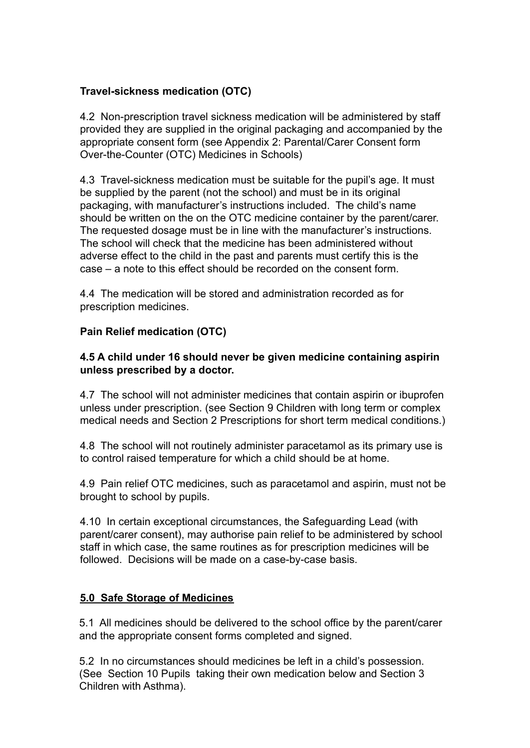# **Travel-sickness medication (OTC)**

4.2 Non-prescription travel sickness medication will be administered by staff provided they are supplied in the original packaging and accompanied by the appropriate consent form (see Appendix 2: Parental/Carer Consent form Over-the-Counter (OTC) Medicines in Schools)

4.3 Travel-sickness medication must be suitable for the pupil's age. It must be supplied by the parent (not the school) and must be in its original packaging, with manufacturer's instructions included. The child's name should be written on the on the OTC medicine container by the parent/carer. The requested dosage must be in line with the manufacturer's instructions. The school will check that the medicine has been administered without adverse effect to the child in the past and parents must certify this is the case – a note to this effect should be recorded on the consent form.

4.4 The medication will be stored and administration recorded as for prescription medicines.

## **Pain Relief medication (OTC)**

#### **4.5 A child under 16 should never be given medicine containing aspirin unless prescribed by a doctor.**

4.7 The school will not administer medicines that contain aspirin or ibuprofen unless under prescription. (see Section 9 Children with long term or complex medical needs and Section 2 Prescriptions for short term medical conditions.)

4.8 The school will not routinely administer paracetamol as its primary use is to control raised temperature for which a child should be at home.

4.9 Pain relief OTC medicines, such as paracetamol and aspirin, must not be brought to school by pupils.

4.10 In certain exceptional circumstances, the Safeguarding Lead (with parent/carer consent), may authorise pain relief to be administered by school staff in which case, the same routines as for prescription medicines will be followed. Decisions will be made on a case-by-case basis.

#### **5.0 Safe Storage of Medicines**

5.1 All medicines should be delivered to the school office by the parent/carer and the appropriate consent forms completed and signed.

5.2 In no circumstances should medicines be left in a child's possession. (See Section 10 Pupils taking their own medication below and Section 3 Children with Asthma).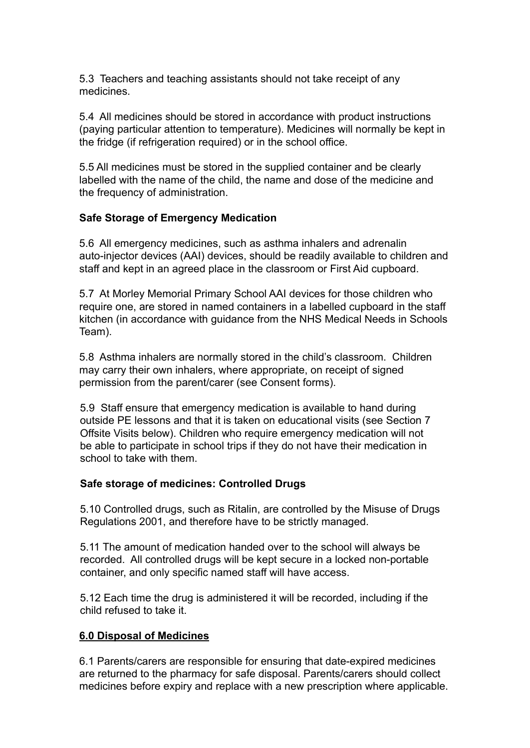5.3 Teachers and teaching assistants should not take receipt of any medicines.

5.4 All medicines should be stored in accordance with product instructions (paying particular attention to temperature). Medicines will normally be kept in the fridge (if refrigeration required) or in the school office.

5.5 All medicines must be stored in the supplied container and be clearly labelled with the name of the child, the name and dose of the medicine and the frequency of administration.

#### **Safe Storage of Emergency Medication**

5.6 All emergency medicines, such as asthma inhalers and adrenalin auto-injector devices (AAI) devices, should be readily available to children and staff and kept in an agreed place in the classroom or First Aid cupboard.

5.7 At Morley Memorial Primary School AAI devices for those children who require one, are stored in named containers in a labelled cupboard in the staff kitchen (in accordance with guidance from the NHS Medical Needs in Schools Team).

5.8 Asthma inhalers are normally stored in the child's classroom. Children may carry their own inhalers, where appropriate, on receipt of signed permission from the parent/carer (see Consent forms).

5.9 Staff ensure that emergency medication is available to hand during outside PE lessons and that it is taken on educational visits (see Section 7 Offsite Visits below). Children who require emergency medication will not be able to participate in school trips if they do not have their medication in school to take with them.

#### **Safe storage of medicines: Controlled Drugs**

5.10 Controlled drugs, such as Ritalin, are controlled by the Misuse of Drugs Regulations 2001, and therefore have to be strictly managed.

5.11 The amount of medication handed over to the school will always be recorded. All controlled drugs will be kept secure in a locked non-portable container, and only specific named staff will have access.

5.12 Each time the drug is administered it will be recorded, including if the child refused to take it.

#### **6.0 Disposal of Medicines**

6.1 Parents/carers are responsible for ensuring that date-expired medicines are returned to the pharmacy for safe disposal. Parents/carers should collect medicines before expiry and replace with a new prescription where applicable.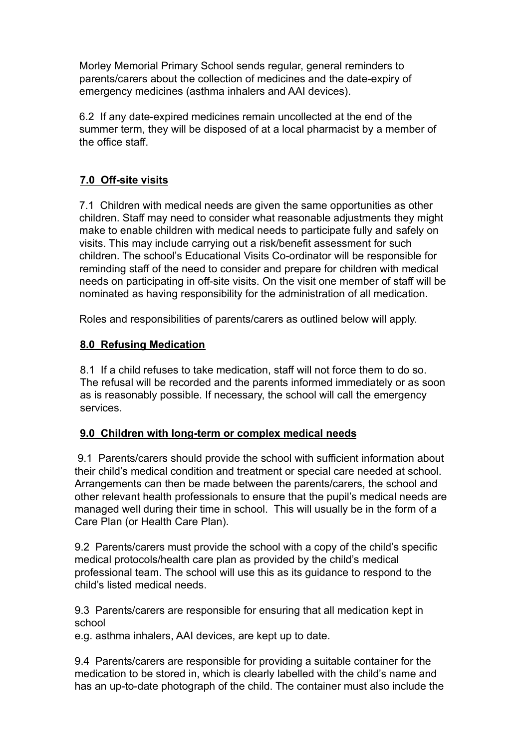Morley Memorial Primary School sends regular, general reminders to parents/carers about the collection of medicines and the date-expiry of emergency medicines (asthma inhalers and AAI devices).

6.2 If any date-expired medicines remain uncollected at the end of the summer term, they will be disposed of at a local pharmacist by a member of the office staff.

# **7.0 Off-site visits**

7.1 Children with medical needs are given the same opportunities as other children. Staff may need to consider what reasonable adjustments they might make to enable children with medical needs to participate fully and safely on visits. This may include carrying out a risk/benefit assessment for such children. The school's Educational Visits Co-ordinator will be responsible for reminding staff of the need to consider and prepare for children with medical needs on participating in off-site visits. On the visit one member of staff will be nominated as having responsibility for the administration of all medication.

Roles and responsibilities of parents/carers as outlined below will apply.

#### **8.0 Refusing Medication**

8.1 If a child refuses to take medication, staff will not force them to do so. The refusal will be recorded and the parents informed immediately or as soon as is reasonably possible. If necessary, the school will call the emergency services.

#### **9.0 Children with long-term or complex medical needs**

9.1 Parents/carers should provide the school with sufficient information about their child's medical condition and treatment or special care needed at school. Arrangements can then be made between the parents/carers, the school and other relevant health professionals to ensure that the pupil's medical needs are managed well during their time in school. This will usually be in the form of a Care Plan (or Health Care Plan).

9.2 Parents/carers must provide the school with a copy of the child's specific medical protocols/health care plan as provided by the child's medical professional team. The school will use this as its guidance to respond to the child's listed medical needs.

9.3 Parents/carers are responsible for ensuring that all medication kept in school

e.g. asthma inhalers, AAI devices, are kept up to date.

9.4 Parents/carers are responsible for providing a suitable container for the medication to be stored in, which is clearly labelled with the child's name and has an up-to-date photograph of the child. The container must also include the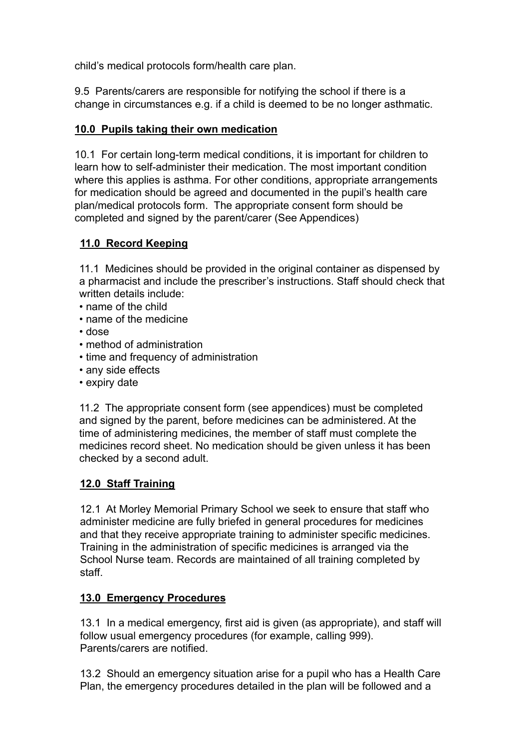child's medical protocols form/health care plan.

9.5 Parents/carers are responsible for notifying the school if there is a change in circumstances e.g. if a child is deemed to be no longer asthmatic.

# **10.0 Pupils taking their own medication**

10.1 For certain long-term medical conditions, it is important for children to learn how to self-administer their medication. The most important condition where this applies is asthma. For other conditions, appropriate arrangements for medication should be agreed and documented in the pupil's health care plan/medical protocols form. The appropriate consent form should be completed and signed by the parent/carer (See Appendices)

# **11.0 Record Keeping**

11.1 Medicines should be provided in the original container as dispensed by a pharmacist and include the prescriber's instructions. Staff should check that written details include:

- name of the child
- name of the medicine
- dose
- method of administration
- time and frequency of administration
- any side effects
- expiry date

11.2 The appropriate consent form (see appendices) must be completed and signed by the parent, before medicines can be administered. At the time of administering medicines, the member of staff must complete the medicines record sheet. No medication should be given unless it has been checked by a second adult.

# **12.0 Staff Training**

12.1 At Morley Memorial Primary School we seek to ensure that staff who administer medicine are fully briefed in general procedures for medicines and that they receive appropriate training to administer specific medicines. Training in the administration of specific medicines is arranged via the School Nurse team. Records are maintained of all training completed by staff.

# **13.0 Emergency Procedures**

13.1 In a medical emergency, first aid is given (as appropriate), and staff will follow usual emergency procedures (for example, calling 999). Parents/carers are notified.

13.2 Should an emergency situation arise for a pupil who has a Health Care Plan, the emergency procedures detailed in the plan will be followed and a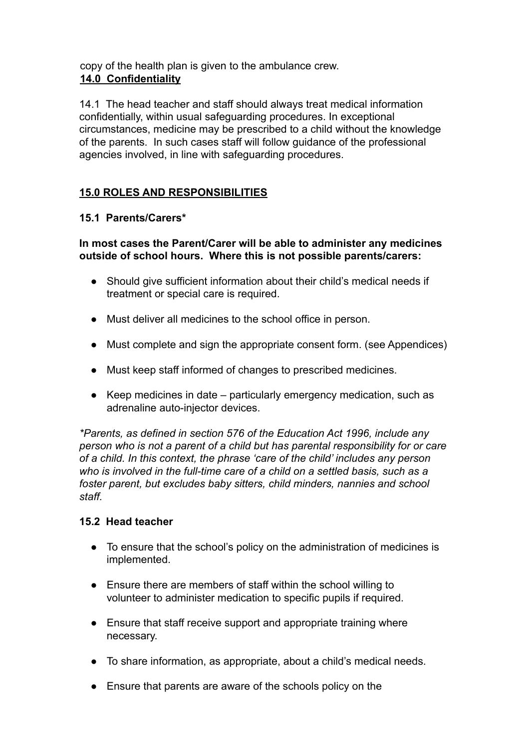copy of the health plan is given to the ambulance crew. **14.0 Confidentiality**

14.1 The head teacher and staff should always treat medical information confidentially, within usual safeguarding procedures. In exceptional circumstances, medicine may be prescribed to a child without the knowledge of the parents. In such cases staff will follow guidance of the professional agencies involved, in line with safeguarding procedures.

# **15.0 ROLES AND RESPONSIBILITIES**

## **15.1 Parents/Carers\***

**In most cases the Parent/Carer will be able to administer any medicines outside of school hours. Where this is not possible parents/carers:**

- Should give sufficient information about their child's medical needs if treatment or special care is required.
- Must deliver all medicines to the school office in person.
- Must complete and sign the appropriate consent form. (see Appendices)
- Must keep staff informed of changes to prescribed medicines.
- Keep medicines in date particularly emergency medication, such as adrenaline auto-injector devices.

*\*Parents, as defined in section 576 of the Education Act 1996, include any person who is not a parent of a child but has parental responsibility for or care of a child. In this context, the phrase 'care of the child' includes any person who is involved in the full-time care of a child on a settled basis, such as a foster parent, but excludes baby sitters, child minders, nannies and school staff.*

#### **15.2 Head teacher**

- To ensure that the school's policy on the administration of medicines is implemented.
- Ensure there are members of staff within the school willing to volunteer to administer medication to specific pupils if required.
- Ensure that staff receive support and appropriate training where necessary.
- To share information, as appropriate, about a child's medical needs.
- Ensure that parents are aware of the schools policy on the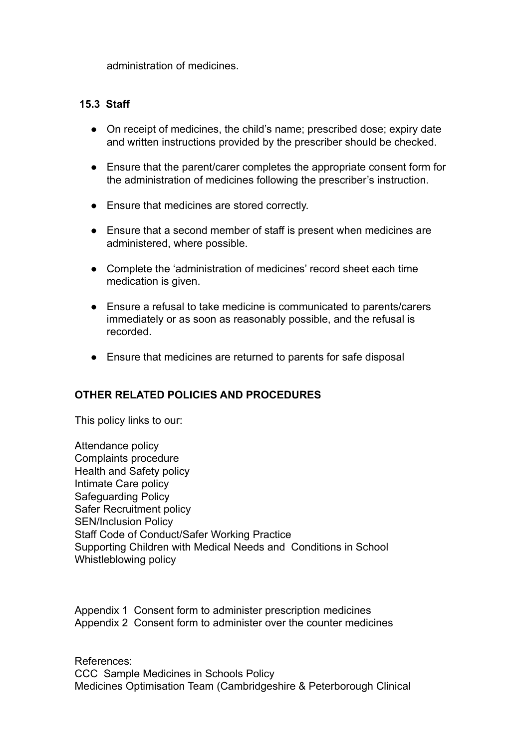administration of medicines.

#### **15.3 Staff**

- On receipt of medicines, the child's name; prescribed dose; expiry date and written instructions provided by the prescriber should be checked.
- Ensure that the parent/carer completes the appropriate consent form for the administration of medicines following the prescriber's instruction.
- Ensure that medicines are stored correctly.
- Ensure that a second member of staff is present when medicines are administered, where possible.
- Complete the 'administration of medicines' record sheet each time medication is given.
- Ensure a refusal to take medicine is communicated to parents/carers immediately or as soon as reasonably possible, and the refusal is recorded.
- Ensure that medicines are returned to parents for safe disposal

#### **OTHER RELATED POLICIES AND PROCEDURES**

This policy links to our:

Attendance policy Complaints procedure Health and Safety policy Intimate Care policy Safeguarding Policy Safer Recruitment policy SEN/Inclusion Policy Staff Code of Conduct/Safer Working Practice Supporting Children with Medical Needs and Conditions in School Whistleblowing policy

Appendix 1 Consent form to administer prescription medicines Appendix 2 Consent form to administer over the counter medicines

References: CCC Sample Medicines in Schools Policy Medicines Optimisation Team (Cambridgeshire & Peterborough Clinical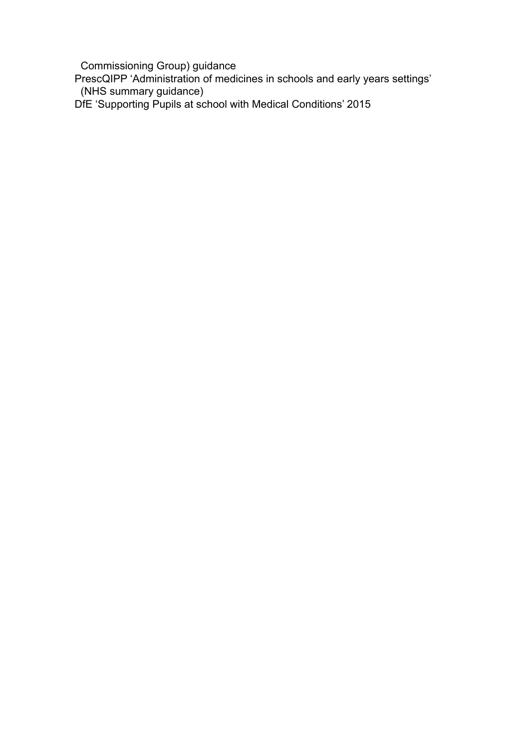Commissioning Group) guidance

PrescQIPP 'Administration of medicines in schools and early years settings' (NHS summary guidance)

DfE 'Supporting Pupils at school with Medical Conditions' 2015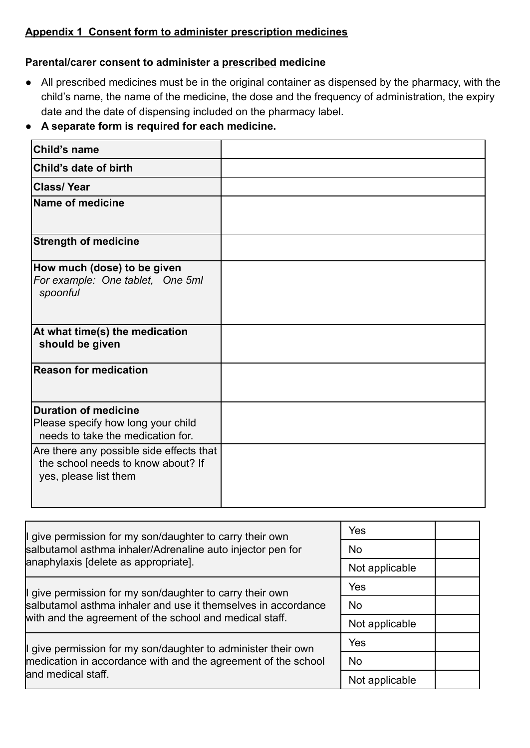## **Appendix 1 Consent form to administer prescription medicines**

#### **Parental/carer consent to administer a prescribed medicine**

● All prescribed medicines must be in the original container as dispensed by the pharmacy, with the child's name, the name of the medicine, the dose and the frequency of administration, the expiry date and the date of dispensing included on the pharmacy label.

## **● A separate form is required for each medicine.**

| <b>Child's name</b>                                                                                     |  |
|---------------------------------------------------------------------------------------------------------|--|
| Child's date of birth                                                                                   |  |
| <b>Class/Year</b>                                                                                       |  |
| <b>Name of medicine</b>                                                                                 |  |
| <b>Strength of medicine</b>                                                                             |  |
| How much (dose) to be given<br>For example: One tablet, One 5ml<br>spoonful                             |  |
| At what time(s) the medication<br>should be given                                                       |  |
| <b>Reason for medication</b>                                                                            |  |
| <b>Duration of medicine</b><br>Please specify how long your child<br>needs to take the medication for.  |  |
| Are there any possible side effects that<br>the school needs to know about? If<br>yes, please list them |  |

| If give permission for my son/daughter to carry their own      | Yes            |  |
|----------------------------------------------------------------|----------------|--|
| salbutamol asthma inhaler/Adrenaline auto injector pen for     | <b>No</b>      |  |
| anaphylaxis [delete as appropriate].                           | Not applicable |  |
| If give permission for my son/daughter to carry their own      | Yes            |  |
| salbutamol asthma inhaler and use it themselves in accordance  | <b>No</b>      |  |
| with and the agreement of the school and medical staff.        | Not applicable |  |
| If give permission for my son/daughter to administer their own | Yes            |  |
| medication in accordance with and the agreement of the school  | <b>No</b>      |  |
| land medical staff.                                            | Not applicable |  |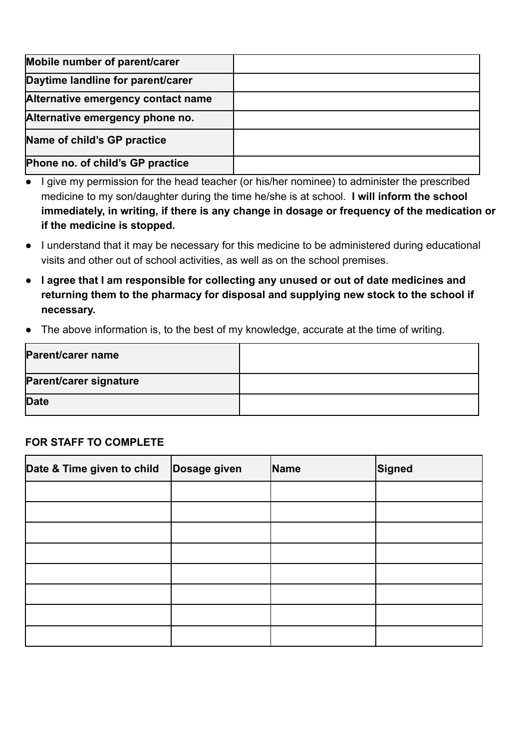| Mobile number of parent/carer      |  |
|------------------------------------|--|
| Daytime landline for parent/carer  |  |
| Alternative emergency contact name |  |
| Alternative emergency phone no.    |  |
| Name of child's GP practice        |  |
| Phone no. of child's GP practice   |  |

- I give my permission for the head teacher (or his/her nominee) to administer the prescribed medicine to my son/daughter during the time he/she is at school. **I will inform the school immediately, in writing, if there is any change in dosage or frequency of the medication or if the medicine is stopped.**
- I understand that it may be necessary for this medicine to be administered during educational visits and other out of school activities, as well as on the school premises.
- **● I agree that I am responsible for collecting any unused or out of date medicines and returning them to the pharmacy for disposal and supplying new stock to the school if necessary.**
- The above information is, to the best of my knowledge, accurate at the time of writing.

| Parent/carer name      |  |
|------------------------|--|
| Parent/carer signature |  |
| <b>Date</b>            |  |

# **FOR STAFF TO COMPLETE**

| Date & Time given to child | Dosage given | Name | Signed |
|----------------------------|--------------|------|--------|
|                            |              |      |        |
|                            |              |      |        |
|                            |              |      |        |
|                            |              |      |        |
|                            |              |      |        |
|                            |              |      |        |
|                            |              |      |        |
|                            |              |      |        |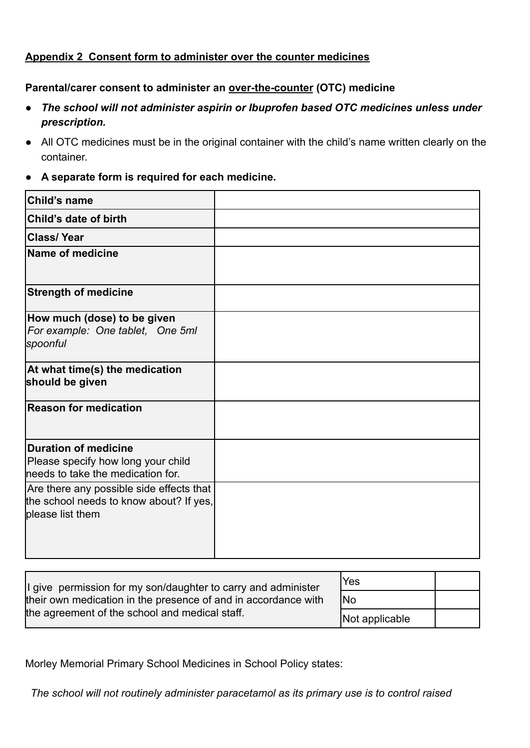#### **Appendix 2 Consent form to administer over the counter medicines**

#### **Parental/carer consent to administer an over-the-counter (OTC) medicine**

- *● The school will not administer aspirin or Ibuprofen based OTC medicines unless under prescription.*
- All OTC medicines must be in the original container with the child's name written clearly on the container.
- **● A separate form is required for each medicine.**

| Child's name                                                                                            |  |
|---------------------------------------------------------------------------------------------------------|--|
| Child's date of birth                                                                                   |  |
| <b>Class/Year</b>                                                                                       |  |
| Name of medicine                                                                                        |  |
| <b>Strength of medicine</b>                                                                             |  |
| How much (dose) to be given<br>For example: One tablet, One 5ml<br> spoonful                            |  |
| At what time(s) the medication<br>should be given                                                       |  |
| $ $ Reason for medication                                                                               |  |
| Duration of medicine<br>Please specify how long your child<br>lneeds to take the medication for.        |  |
| Are there any possible side effects that<br>the school needs to know about? If yes,<br>please list them |  |

| If give permission for my son/daughter to carry and administer | 'Yes           |  |
|----------------------------------------------------------------|----------------|--|
| their own medication in the presence of and in accordance with | <b>INo</b>     |  |
| the agreement of the school and medical staff.                 | Not applicable |  |

Morley Memorial Primary School Medicines in School Policy states:

*The school will not routinely administer paracetamol as its primary use is to control raised*